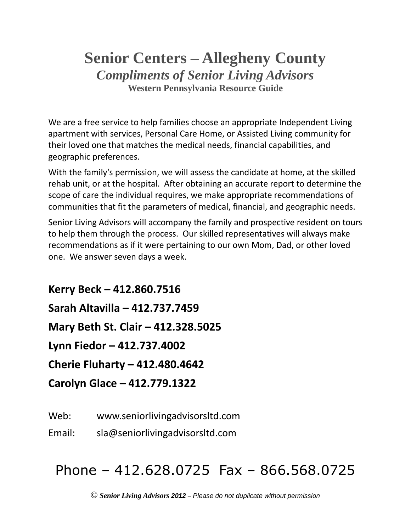## **Senior Centers – Allegheny County** *Compliments of Senior Living Advisors* **Western Pennsylvania Resource Guide**

We are a free service to help families choose an appropriate Independent Living apartment with services, Personal Care Home, or Assisted Living community for their loved one that matches the medical needs, financial capabilities, and geographic preferences.

With the family's permission, we will assess the candidate at home, at the skilled rehab unit, or at the hospital. After obtaining an accurate report to determine the scope of care the individual requires, we make appropriate recommendations of communities that fit the parameters of medical, financial, and geographic needs.

Senior Living Advisors will accompany the family and prospective resident on tours to help them through the process. Our skilled representatives will always make recommendations as if it were pertaining to our own Mom, Dad, or other loved one. We answer seven days a week.

**Kerry Beck – 412.860.7516 Sarah Altavilla – 412.737.7459 Mary Beth St. Clair – 412.328.5025 Lynn Fiedor – 412.737.4002 Cherie Fluharty – 412.480.4642 Carolyn Glace – 412.779.1322**

Web: www.seniorlivingadvisorsltd.com

Email: sla@seniorlivingadvisorsltd.com

# Phone – 412.628.0725 Fax – 866.568.0725

© *Senior Living Advisors 2012* – *Please do not duplicate without permission*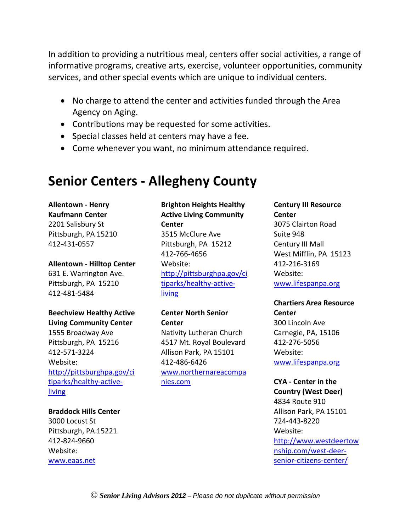In addition to providing a nutritious meal, centers offer social activities, a range of informative programs, creative arts, exercise, volunteer opportunities, community services, and other special events which are unique to individual centers.

- No charge to attend the center and activities funded through the Area Agency on Aging.
- Contributions may be requested for some activities.
- Special classes held at centers may have a fee.
- Come whenever you want, no minimum attendance required.

## **Senior Centers - Allegheny County**

**Allentown - Henry Kaufmann Center** 2201 Salisbury St Pittsburgh, PA 15210 412-431-0557

**Allentown - Hilltop Center**

631 E. Warrington Ave. Pittsburgh, PA 15210 412-481-5484

## **Beechview Healthy Active Living Community Center**

1555 Broadway Ave Pittsburgh, PA 15216 412-571-3224 Website: [http://pittsburghpa.gov/ci](http://pittsburghpa.gov/citiparks/healthy-active-living) [tiparks/healthy-active](http://pittsburghpa.gov/citiparks/healthy-active-living)[living](http://pittsburghpa.gov/citiparks/healthy-active-living)

#### **Braddock Hills Center**

3000 Locust St Pittsburgh, PA 15221 412-824-9660 Website: [www.eaas.net](http://www.eaas.net/)

## **Brighton Heights Healthy Active Living Community Center** 3515 McClure Ave Pittsburgh, PA 15212 412-766-4656 Website: [http://pittsburghpa.gov/ci](http://pittsburghpa.gov/citiparks/healthy-active-living) [tiparks/healthy-active](http://pittsburghpa.gov/citiparks/healthy-active-living)[living](http://pittsburghpa.gov/citiparks/healthy-active-living)

**Center North Senior Center** Nativity Lutheran Church 4517 Mt. Royal Boulevard Allison Park, PA 15101 412-486-6426 [www.northernareacompa](http://www.northernareacompanies.com/) [nies.com](http://www.northernareacompanies.com/)

**Century III Resource Center** 3075 Clairton Road Suite 948 Century III Mall West Mifflin, PA 15123 412-216-3169 Website: [www.lifespanpa.org](http://www.lifespanpa.org/)

## **Chartiers Area Resource Center** 300 Lincoln Ave Carnegie, PA, 15106 412-276-5056 Website: [www.lifespanpa.org](http://www.lifespanpa.org/)

**CYA - Center in the Country (West Deer)** 4834 Route 910 Allison Park, PA 15101 724-443-8220 Website: [http://www.westdeertow](http://www.westdeertownship.com/west-deer-senior-citizens-center/) [nship.com/west-deer](http://www.westdeertownship.com/west-deer-senior-citizens-center/)[senior-citizens-center/](http://www.westdeertownship.com/west-deer-senior-citizens-center/)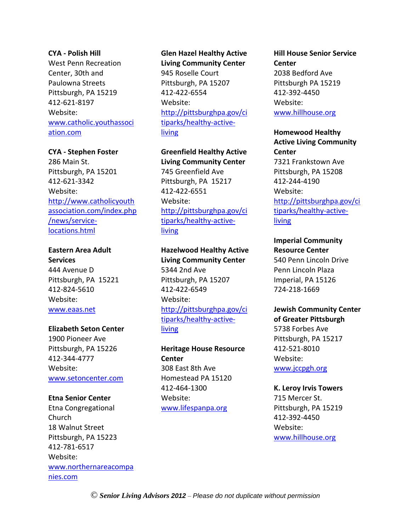#### **CYA - Polish Hill**

West Penn Recreation Center, 30th and Paulowna Streets Pittsburgh, PA 15219 412-621-8197 Website: [www.catholic.youthassoci](http://www.catholic.youthassociation.com/) [ation.com](http://www.catholic.youthassociation.com/)

#### **CYA - Stephen Foster**

286 Main St. Pittsburgh, PA 15201 412-621-3342 Website: [http://www.catholicyouth](http://www.catholicyouthassociation.com/index.php/news/service-locations.html) [association.com/index.php](http://www.catholicyouthassociation.com/index.php/news/service-locations.html) [/news/service](http://www.catholicyouthassociation.com/index.php/news/service-locations.html)[locations.html](http://www.catholicyouthassociation.com/index.php/news/service-locations.html)

#### **Eastern Area Adult Services**

444 Avenue D Pittsburgh, PA 15221 412-824-5610 Website: [www.eaas.net](http://www.eaas.net/)

#### **Elizabeth Seton Center**

1900 Pioneer Ave Pittsburgh, PA 15226 412-344-4777 Website: [www.setoncenter.com](http://www.setoncenter.com/)

#### **Etna Senior Center**

Etna Congregational Church 18 Walnut Street Pittsburgh, PA 15223 412-781-6517 Website: [www.northernareacompa](http://www.northernareacompanies.com/) [nies.com](http://www.northernareacompanies.com/)

#### **Glen Hazel Healthy Active**

**Living Community Center** 945 Roselle Court Pittsburgh, PA 15207 412-422-6554 Website: [http://pittsburghpa.gov/ci](http://pittsburghpa.gov/citiparks/healthy-active-living) [tiparks/healthy-active](http://pittsburghpa.gov/citiparks/healthy-active-living)**[living](http://pittsburghpa.gov/citiparks/healthy-active-living)** 

**Greenfield Healthy Active Living Community Center** 745 Greenfield Ave Pittsburgh, PA 15217 412-422-6551 Website: [http://pittsburghpa.gov/ci](http://pittsburghpa.gov/citiparks/healthy-active-living) [tiparks/healthy-active](http://pittsburghpa.gov/citiparks/healthy-active-living)[living](http://pittsburghpa.gov/citiparks/healthy-active-living)

## **Hazelwood Healthy Active Living Community Center** 5344 2nd Ave Pittsburgh, PA 15207 412-422-6549 Website: [http://pittsburghpa.gov/ci](http://pittsburghpa.gov/citiparks/healthy-active-living) [tiparks/healthy-active](http://pittsburghpa.gov/citiparks/healthy-active-living)[living](http://pittsburghpa.gov/citiparks/healthy-active-living)

**Heritage House Resource Center** 308 East 8th Ave Homestead PA 15120 412-464-1300 Website: [www.lifespanpa.org](http://www.lifespanpa.org/)

## **Hill House Senior Service Center** 2038 Bedford Ave Pittsburgh PA 15219 412-392-4450 Website: [www.hillhouse.org](http://www.hillhouse.org/)

**Homewood Healthy Active Living Community Center** 7321 Frankstown Ave Pittsburgh, PA 15208 412-244-4190 Website: [http://pittsburghpa.gov/ci](http://pittsburghpa.gov/citiparks/healthy-active-living) [tiparks/healthy-active](http://pittsburghpa.gov/citiparks/healthy-active-living)[living](http://pittsburghpa.gov/citiparks/healthy-active-living)

#### **Imperial Community Resource Center** 540 Penn Lincoln Drive Penn Lincoln Plaza Imperial, PA 15126 724-218-1669

#### **Jewish Community Center of Greater Pittsburgh**

5738 Forbes Ave Pittsburgh, PA 15217 412-521-8010 Website: [www.jccpgh.org](http://www.jccpgh.org/)

#### **K. Leroy Irvis Towers** 715 Mercer St. Pittsburgh, PA 15219 412-392-4450 Website: [www.hillhouse.org](http://www.hillhouse.org/)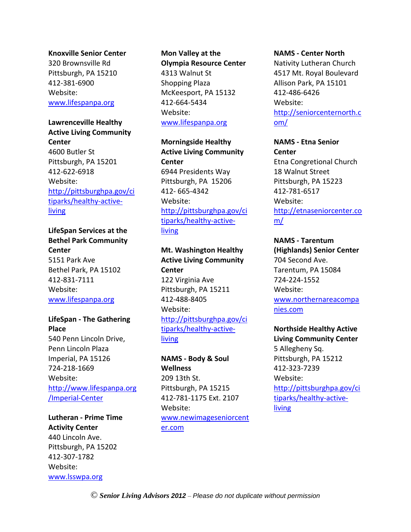#### **Knoxville Senior Center**

320 Brownsville Rd Pittsburgh, PA 15210 412-381-6900 Website: [www.lifespanpa.org](http://www.lifespanpa.org/)

## **Lawrenceville Healthy Active Living Community Center** 4600 Butler St Pittsburgh, PA 15201 412-622-6918 Website: [http://pittsburghpa.gov/ci](http://pittsburghpa.gov/citiparks/healthy-active-living) [tiparks/healthy-active](http://pittsburghpa.gov/citiparks/healthy-active-living)[living](http://pittsburghpa.gov/citiparks/healthy-active-living)

## **LifeSpan Services at the Bethel Park Community Center** 5151 Park Ave Bethel Park, PA 15102 412-831-7111 Website: [www.lifespanpa.org](http://www.lifespanpa.org/)

## **LifeSpan - The Gathering Place** 540 Penn Lincoln Drive, Penn Lincoln Plaza Imperial, PA 15126 724-218-1669 Website: [http://www.lifespanpa.org](http://www.lifespanpa.org/Imperial-Center) [/Imperial-Center](http://www.lifespanpa.org/Imperial-Center)

**Lutheran - Prime Time Activity Center** 440 Lincoln Ave. Pittsburgh, PA 15202 412-307-1782 Website: [www.lsswpa.org](http://www.lsswpa.org/)

## **Mon Valley at the Olympia Resource Center** 4313 Walnut St Shopping Plaza McKeesport, PA 15132 412-664-5434 Website: [www.lifespanpa.org](http://www.lifespanpa.org/)

**Morningside Healthy Active Living Community Center** 6944 Presidents Way Pittsburgh, PA 15206 412- 665-4342 Website: [http://pittsburghpa.gov/ci](http://pittsburghpa.gov/citiparks/healthy-active-living) [tiparks/healthy-active](http://pittsburghpa.gov/citiparks/healthy-active-living)[living](http://pittsburghpa.gov/citiparks/healthy-active-living)

## **Mt. Washington Healthy Active Living Community Center** 122 Virginia Ave Pittsburgh, PA 15211 412-488-8405 Website: [http://pittsburghpa.gov/ci](http://pittsburghpa.gov/citiparks/healthy-active-living) [tiparks/healthy-active](http://pittsburghpa.gov/citiparks/healthy-active-living)[living](http://pittsburghpa.gov/citiparks/healthy-active-living)

**NAMS - Body & Soul Wellness** 209 13th St. Pittsburgh, PA 15215 412-781-1175 Ext. 2107 Website: [www.newimageseniorcent](http://www.newimageseniorcenter.com/) [er.com](http://www.newimageseniorcenter.com/)

#### **NAMS - Center North**

Nativity Lutheran Church 4517 Mt. Royal Boulevard Allison Park, PA 15101 412-486-6426 Website: [http://seniorcenternorth.c](http://seniorcenternorth.com/) [om/](http://seniorcenternorth.com/)

**NAMS - Etna Senior Center** Etna Congretional Church 18 Walnut Street Pittsburgh, PA 15223 412-781-6517 Website: [http://etnaseniorcenter.co](http://etnaseniorcenter.com/) [m/](http://etnaseniorcenter.com/)

**NAMS - Tarentum (Highlands) Senior Center** 704 Second Ave. Tarentum, PA 15084 724-224-1552 Website: [www.northernareacompa](http://www.northernareacompanies.com/) [nies.com](http://www.northernareacompanies.com/)

**Northside Healthy Active Living Community Center** 5 Allegheny Sq. Pittsburgh, PA 15212 412-323-7239 Website: [http://pittsburghpa.gov/ci](http://pittsburghpa.gov/citiparks/healthy-active-living) [tiparks/healthy-active](http://pittsburghpa.gov/citiparks/healthy-active-living)[living](http://pittsburghpa.gov/citiparks/healthy-active-living)

© *Senior Living Advisors 2012* – *Please do not duplicate without permission*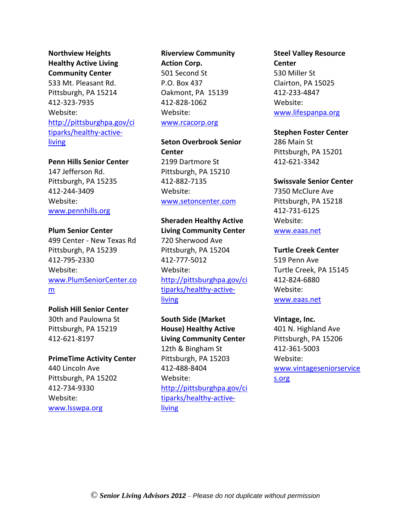**Northview Heights Healthy Active Living Community Center** 533 Mt. Pleasant Rd. Pittsburgh, PA 15214 412-323-7935 Website: [http://pittsburghpa.gov/ci](http://pittsburghpa.gov/citiparks/healthy-active-living) [tiparks/healthy-active](http://pittsburghpa.gov/citiparks/healthy-active-living)[living](http://pittsburghpa.gov/citiparks/healthy-active-living)

**Penn Hills Senior Center**

147 Jefferson Rd. Pittsburgh, PA 15235 412-244-3409 Website: [www.pennhills.org](http://www.pennhills.org/)

#### **Plum Senior Center**

499 Center - New Texas Rd Pittsburgh, PA 15239 412-795-2330 Website: [www.PlumSeniorCenter.co](http://www.plumseniorcenter.com/) [m](http://www.plumseniorcenter.com/)

**Polish Hill Senior Center**

30th and Paulowna St Pittsburgh, PA 15219 412-621-8197

**PrimeTime Activity Center**

440 Lincoln Ave Pittsburgh, PA 15202 412-734-9330 Website: [www.lsswpa.org](http://www.lsswpa.org/)

## **Riverview Community Action Corp.** 501 Second St P.O. Box 437 Oakmont, PA 15139 412-828-1062 Website: [www.rcacorp.org](http://www.rcacorp.org/)

**Seton Overbrook Senior Center** 2199 Dartmore St Pittsburgh, PA 15210 412-882-7135 Website: [www.setoncenter.com](http://www.setoncenter.com/)

**Sheraden Healthy Active Living Community Center** 720 Sherwood Ave Pittsburgh, PA 15204 412-777-5012 Website: [http://pittsburghpa.gov/ci](http://pittsburghpa.gov/citiparks/healthy-active-living) [tiparks/healthy-active-](http://pittsburghpa.gov/citiparks/healthy-active-living)

[living](http://pittsburghpa.gov/citiparks/healthy-active-living)

**South Side (Market House) Healthy Active Living Community Center** 12th & Bingham St Pittsburgh, PA 15203 412-488-8404 Website: [http://pittsburghpa.gov/ci](http://pittsburghpa.gov/citiparks/healthy-active-living) [tiparks/healthy-active](http://pittsburghpa.gov/citiparks/healthy-active-living)[living](http://pittsburghpa.gov/citiparks/healthy-active-living)

## **Steel Valley Resource Center** 530 Miller St Clairton, PA 15025 412-233-4847 Website: [www.lifespanpa.org](http://www.lifespanpa.org/)

**Stephen Foster Center** 286 Main St Pittsburgh, PA 15201 412-621-3342

#### **Swissvale Senior Center**

7350 McClure Ave Pittsburgh, PA 15218 412-731-6125 Website: [www.eaas.net](http://www.eaas.net/)

#### **Turtle Creek Center**

519 Penn Ave Turtle Creek, PA 15145 412-824-6880 Website: [www.eaas.net](http://www.eaas.net/)

#### **Vintage, Inc.**

401 N. Highland Ave Pittsburgh, PA 15206 412-361-5003 Website: [www.vintageseniorservice](http://www.vintageseniorservices.org/) [s.org](http://www.vintageseniorservices.org/)